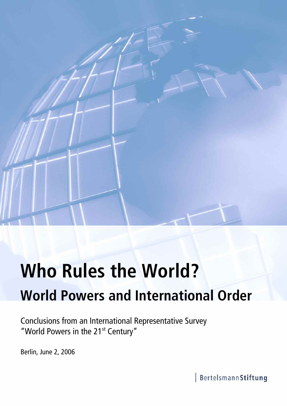

# **Who Rules the World? World Powers and International Order**

Conclusions from an International Representative Survey "World Powers in the 21<sup>st</sup> Century"

Berlin, June 2, 2006

BertelsmannStiftung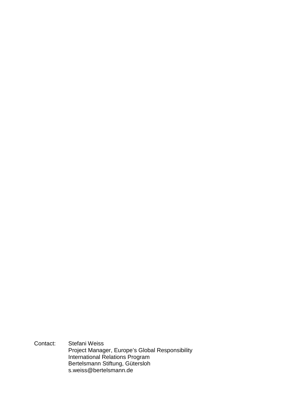Contact: Stefani Weiss Project Manager, Europe's Global Responsibility International Relations Program Bertelsmann Stiftung, Gütersloh s.weiss@bertelsmann.de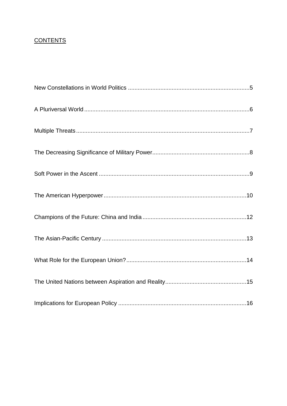# **CONTENTS**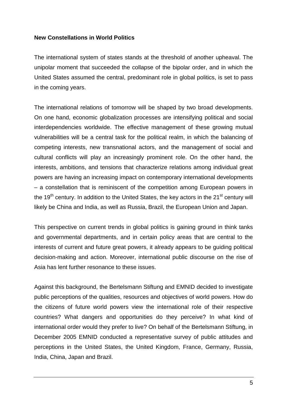#### **New Constellations in World Politics**

The international system of states stands at the threshold of another upheaval. The unipolar moment that succeeded the collapse of the bipolar order, and in which the United States assumed the central, predominant role in global politics, is set to pass in the coming years.

The international relations of tomorrow will be shaped by two broad developments. On one hand, economic globalization processes are intensifying political and social interdependencies worldwide. The effective management of these growing mutual vulnerabilities will be a central task for the political realm, in which the balancing of competing interests, new transnational actors, and the management of social and cultural conflicts will play an increasingly prominent role. On the other hand, the interests, ambitions, and tensions that characterize relations among individual great powers are having an increasing impact on contemporary international developments – a constellation that is reminiscent of the competition among European powers in the 19<sup>th</sup> century. In addition to the United States, the key actors in the 21<sup>st</sup> century will likely be China and India, as well as Russia, Brazil, the European Union and Japan.

This perspective on current trends in global politics is gaining ground in think tanks and governmental departments, and in certain policy areas that are central to the interests of current and future great powers, it already appears to be guiding political decision-making and action. Moreover, international public discourse on the rise of Asia has lent further resonance to these issues.

Against this background, the Bertelsmann Stiftung and EMNID decided to investigate public perceptions of the qualities, resources and objectives of world powers. How do the citizens of future world powers view the international role of their respective countries? What dangers and opportunities do they perceive? In what kind of international order would they prefer to live? On behalf of the Bertelsmann Stiftung, in December 2005 EMNID conducted a representative survey of public attitudes and perceptions in the United States, the United Kingdom, France, Germany, Russia, India, China, Japan and Brazil.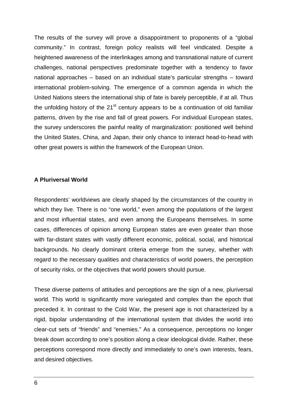The results of the survey will prove a disappointment to proponents of a "global community." In contrast, foreign policy realists will feel vindicated. Despite a heightened awareness of the interlinkages among and transnational nature of current challenges, national perspectives predominate together with a tendency to favor national approaches – based on an individual state's particular strengths – toward international problem-solving. The emergence of a common agenda in which the United Nations steers the international ship of fate is barely perceptible, if at all. Thus the unfolding history of the  $21<sup>st</sup>$  century appears to be a continuation of old familiar patterns, driven by the rise and fall of great powers. For individual European states, the survey underscores the painful reality of marginalization: positioned well behind the United States, China, and Japan, their only chance to interact head-to-head with other great powers is within the framework of the European Union.

#### **A Pluriversal World**

Respondents' worldviews are clearly shaped by the circumstances of the country in which they live. There is no "one world," even among the populations of the largest and most influential states, and even among the Europeans themselves. In some cases, differences of opinion among European states are even greater than those with far-distant states with vastly different economic, political, social, and historical backgrounds. No clearly dominant criteria emerge from the survey, whether with regard to the necessary qualities and characteristics of world powers, the perception of security risks, or the objectives that world powers should pursue.

These diverse patterns of attitudes and perceptions are the sign of a new, pluriversal world. This world is significantly more variegated and complex than the epoch that preceded it. In contrast to the Cold War, the present age is not characterized by a rigid, bipolar understanding of the international system that divides the world into clear-cut sets of "friends" and "enemies." As a consequence, perceptions no longer break down according to one's position along a clear ideological divide. Rather, these perceptions correspond more directly and immediately to one's own interests, fears, and desired objectives.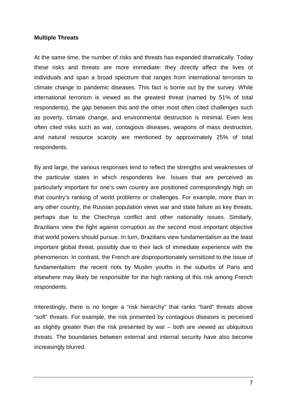#### **Multiple Threats**

At the same time, the number of risks and threats has expanded dramatically. Today these risks and threats are more immediate: they directly affect the lives of individuals and span a broad spectrum that ranges from international terrorism to climate change to pandemic diseases. This fact is borne out by the survey. While international terrorism is viewed as the greatest threat (named by 51% of total respondents), the gap between this and the other most often cited challenges such as poverty, climate change, and environmental destruction is minimal. Even less often cited risks such as war, contagious diseases, weapons of mass destruction, and natural resource scarcity are mentioned by approximately 25% of total respondents.

By and large, the various responses tend to reflect the strengths and weaknesses of the particular states in which respondents live. Issues that are perceived as particularly important for one's own country are positioned correspondingly high on that country's ranking of world problems or challenges. For example, more than in any other country, the Russian population views war and state failure as key threats, perhaps due to the Chechnya conflict and other nationality issues. Similarly, Brazilians view the fight against corruption as the second most important objective that world powers should pursue. In turn, Brazilians view fundamentalism as the least important global threat, possibly due to their lack of immediate experience with the phenomenon. In contrast, the French are disproportionately sensitized to the issue of fundamentalism: the recent riots by Muslim youths in the suburbs of Paris and elsewhere may likely be responsible for the high ranking of this risk among French respondents.

Interestingly, there is no longer a "risk hierarchy" that ranks "hard" threats above "soft" threats. For example, the risk presented by contagious diseases is perceived as slightly greater than the risk presented by war – both are viewed as ubiquitous threats. The boundaries between external and internal security have also become increasingly blurred.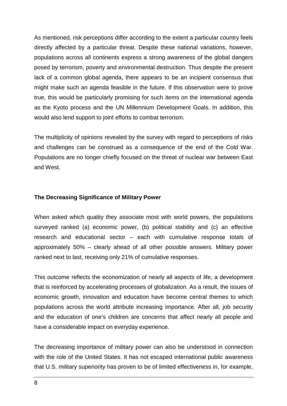As mentioned, risk perceptions differ according to the extent a particular country feels directly affected by a particular threat. Despite these national variations, however, populations across all continents express a strong awareness of the global dangers posed by terrorism, poverty and environmental destruction. Thus despite the present lack of a common global agenda, there appears to be an incipient consensus that might make such an agenda feasible in the future. If this observation were to prove true, this would be particularly promising for such items on the international agenda as the Kyoto process and the UN Millennium Development Goals. In addition, this would also lend support to joint efforts to combat terrorism.

The multiplicity of opinions revealed by the survey with regard to perceptions of risks and challenges can be construed as a consequence of the end of the Cold War. Populations are no longer chiefly focused on the threat of nuclear war between East and West.

#### **The Decreasing Significance of Military Power**

When asked which quality they associate most with world powers, the populations surveyed ranked (a) economic power, (b) political stability and (c) an effective research and educational sector – each with cumulative response totals of approximately 50% – clearly ahead of all other possible answers. Military power ranked next to last, receiving only 21% of cumulative responses.

This outcome reflects the economization of nearly all aspects of life, a development that is reinforced by accelerating processes of globalization. As a result, the issues of economic growth, innovation and education have become central themes to which populations across the world attribute increasing importance. After all, job security and the education of one's children are concerns that affect nearly all people and have a considerable impact on everyday experience.

The decreasing importance of military power can also be understood in connection with the role of the United States. It has not escaped international public awareness that U.S. military superiority has proven to be of limited effectiveness in, for example,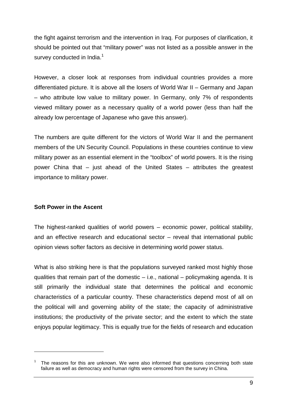the fight against terrorism and the intervention in Iraq. For purposes of clarification, it should be pointed out that "military power" was not listed as a possible answer in the survey conducted in India.<sup>1</sup>

However, a closer look at responses from individual countries provides a more differentiated picture. It is above all the losers of World War II – Germany and Japan – who attribute low value to military power. In Germany, only 7% of respondents viewed military power as a necessary quality of a world power (less than half the already low percentage of Japanese who gave this answer).

The numbers are quite different for the victors of World War II and the permanent members of the UN Security Council. Populations in these countries continue to view military power as an essential element in the "toolbox" of world powers. It is the rising power China that – just ahead of the United States – attributes the greatest importance to military power.

# **Soft Power in the Ascent**

 $\overline{a}$ 

The highest-ranked qualities of world powers – economic power, political stability, and an effective research and educational sector – reveal that international public opinion views softer factors as decisive in determining world power status.

What is also striking here is that the populations surveyed ranked most highly those qualities that remain part of the domestic – i.e., national – policymaking agenda. It is still primarily the individual state that determines the political and economic characteristics of a particular country. These characteristics depend most of all on the political will and governing ability of the state; the capacity of administrative institutions; the productivity of the private sector; and the extent to which the state enjoys popular legitimacy. This is equally true for the fields of research and education

<sup>1</sup> The reasons for this are unknown. We were also informed that questions concerning both state failure as well as democracy and human rights were censored from the survey in China.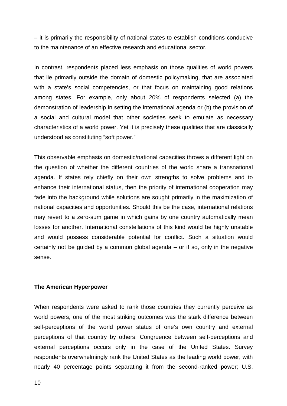– it is primarily the responsibility of national states to establish conditions conducive to the maintenance of an effective research and educational sector.

In contrast, respondents placed less emphasis on those qualities of world powers that lie primarily outside the domain of domestic policymaking, that are associated with a state's social competencies, or that focus on maintaining good relations among states. For example, only about 20% of respondents selected (a) the demonstration of leadership in setting the international agenda or (b) the provision of a social and cultural model that other societies seek to emulate as necessary characteristics of a world power. Yet it is precisely these qualities that are classically understood as constituting "soft power."

This observable emphasis on domestic/national capacities throws a different light on the question of whether the different countries of the world share a transnational agenda. If states rely chiefly on their own strengths to solve problems and to enhance their international status, then the priority of international cooperation may fade into the background while solutions are sought primarily in the maximization of national capacities and opportunities. Should this be the case, international relations may revert to a zero-sum game in which gains by one country automatically mean losses for another. International constellations of this kind would be highly unstable and would possess considerable potential for conflict. Such a situation would certainly not be guided by a common global agenda – or if so, only in the negative sense.

#### **The American Hyperpower**

When respondents were asked to rank those countries they currently perceive as world powers, one of the most striking outcomes was the stark difference between self-perceptions of the world power status of one's own country and external perceptions of that country by others. Congruence between self-perceptions and external perceptions occurs only in the case of the United States. Survey respondents overwhelmingly rank the United States as the leading world power, with nearly 40 percentage points separating it from the second-ranked power; U.S.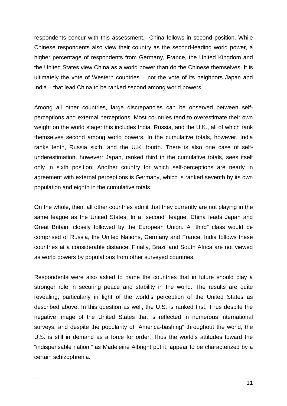respondents concur with this assessment. China follows in second position. While Chinese respondents also view their country as the second-leading world power, a higher percentage of respondents from Germany, France, the United Kingdom and the United States view China as a world power than do the Chinese themselves. It is ultimately the vote of Western countries – not the vote of its neighbors Japan and India – that lead China to be ranked second among world powers.

Among all other countries, large discrepancies can be observed between selfperceptions and external perceptions. Most countries tend to overestimate their own weight on the world stage: this includes India, Russia, and the U.K., all of which rank themselves second among world powers. In the cumulative totals, however, India ranks tenth, Russia sixth, and the U.K. fourth. There is also one case of selfunderestimation, however: Japan, ranked third in the cumulative totals, sees itself only in sixth position. Another country for which self-perceptions are nearly in agreement with external perceptions is Germany, which is ranked seventh by its own population and eighth in the cumulative totals.

On the whole, then, all other countries admit that they currently are not playing in the same league as the United States. In a "second" league, China leads Japan and Great Britain, closely followed by the European Union. A "third" class would be comprised of Russia, the United Nations, Germany and France. India follows these countries at a considerable distance. Finally, Brazil and South Africa are not viewed as world powers by populations from other surveyed countries.

Respondents were also asked to name the countries that in future should play a stronger role in securing peace and stability in the world. The results are quite revealing, particularly in light of the world's perception of the United States as described above. In this question as well, the U.S. is ranked first. Thus despite the negative image of the United States that is reflected in numerous international surveys, and despite the popularity of "America-bashing" throughout the world, the U.S. is still in demand as a force for order. Thus the world's attitudes toward the "indispensable nation," as Madeleine Albright put it, appear to be characterized by a certain schizophrenia.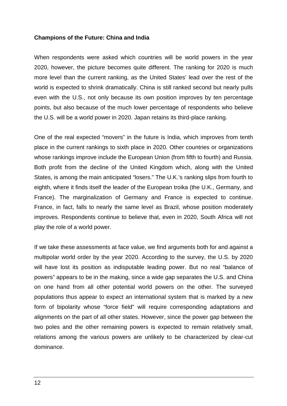#### **Champions of the Future: China and India**

When respondents were asked which countries will be world powers in the year 2020, however, the picture becomes quite different. The ranking for 2020 is much more level than the current ranking, as the United States' lead over the rest of the world is expected to shrink dramatically. China is still ranked second but nearly pulls even with the U.S., not only because its own position improves by ten percentage points, but also because of the much lower percentage of respondents who believe the U.S. will be a world power in 2020. Japan retains its third-place ranking.

One of the real expected "movers" in the future is India, which improves from tenth place in the current rankings to sixth place in 2020. Other countries or organizations whose rankings improve include the European Union (from fifth to fourth) and Russia. Both profit from the decline of the United Kingdom which, along with the United States, is among the main anticipated "losers." The U.K.'s ranking slips from fourth to eighth, where it finds itself the leader of the European troika (the U.K., Germany, and France). The marginalization of Germany and France is expected to continue. France, in fact, falls to nearly the same level as Brazil, whose position moderately improves. Respondents continue to believe that, even in 2020, South Africa will not play the role of a world power.

If we take these assessments at face value, we find arguments both for and against a multipolar world order by the year 2020. According to the survey, the U.S. by 2020 will have lost its position as indisputable leading power. But no real "balance of powers" appears to be in the making, since a wide gap separates the U.S. and China on one hand from all other potential world powers on the other. The surveyed populations thus appear to expect an international system that is marked by a new form of bipolarity whose "force field" will require corresponding adaptations and alignments on the part of all other states. However, since the power gap between the two poles and the other remaining powers is expected to remain relatively small, relations among the various powers are unlikely to be characterized by clear-cut dominance.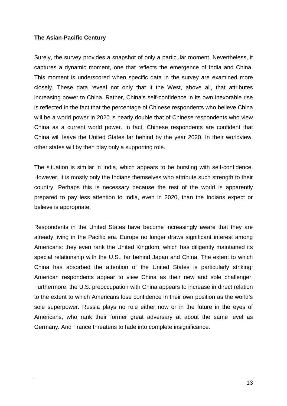#### **The Asian-Pacific Century**

Surely, the survey provides a snapshot of only a particular moment. Nevertheless, it captures a dynamic moment, one that reflects the emergence of India and China. This moment is underscored when specific data in the survey are examined more closely. These data reveal not only that it the West, above all, that attributes increasing power to China. Rather, China's self-confidence in its own inexorable rise is reflected in the fact that the percentage of Chinese respondents who believe China will be a world power in 2020 is nearly double that of Chinese respondents who view China as a current world power. In fact, Chinese respondents are confident that China will leave the United States far behind by the year 2020. In their worldview, other states will by then play only a supporting role.

The situation is similar in India, which appears to be bursting with self-confidence. However, it is mostly only the Indians themselves who attribute such strength to their country. Perhaps this is necessary because the rest of the world is apparently prepared to pay less attention to India, even in 2020, than the Indians expect or believe is appropriate.

Respondents in the United States have become increasingly aware that they are already living in the Pacific era. Europe no longer draws significant interest among Americans: they even rank the United Kingdom, which has diligently maintained its special relationship with the U.S., far behind Japan and China. The extent to which China has absorbed the attention of the United States is particularly striking: American respondents appear to view China as their new and sole challenger. Furthermore, the U.S. preoccupation with China appears to increase in direct relation to the extent to which Americans lose confidence in their own position as the world's sole superpower. Russia plays no role either now or in the future in the eyes of Americans, who rank their former great adversary at about the same level as Germany. And France threatens to fade into complete insignificance.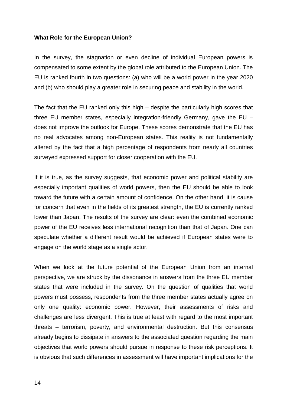#### **What Role for the European Union?**

In the survey, the stagnation or even decline of individual European powers is compensated to some extent by the global role attributed to the European Union. The EU is ranked fourth in two questions: (a) who will be a world power in the year 2020 and (b) who should play a greater role in securing peace and stability in the world.

The fact that the EU ranked only this high – despite the particularly high scores that three EU member states, especially integration-friendly Germany, gave the EU – does not improve the outlook for Europe. These scores demonstrate that the EU has no real advocates among non-European states. This reality is not fundamentally altered by the fact that a high percentage of respondents from nearly all countries surveyed expressed support for closer cooperation with the EU.

If it is true, as the survey suggests, that economic power and political stability are especially important qualities of world powers, then the EU should be able to look toward the future with a certain amount of confidence. On the other hand, it is cause for concern that even in the fields of its greatest strength, the EU is currently ranked lower than Japan. The results of the survey are clear: even the combined economic power of the EU receives less international recognition than that of Japan. One can speculate whether a different result would be achieved if European states were to engage on the world stage as a single actor.

When we look at the future potential of the European Union from an internal perspective, we are struck by the dissonance in answers from the three EU member states that were included in the survey. On the question of qualities that world powers must possess, respondents from the three member states actually agree on only one quality: economic power. However, their assessments of risks and challenges are less divergent. This is true at least with regard to the most important threats – terrorism, poverty, and environmental destruction. But this consensus already begins to dissipate in answers to the associated question regarding the main objectives that world powers should pursue in response to these risk perceptions. It is obvious that such differences in assessment will have important implications for the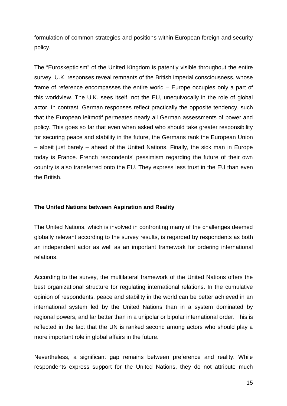formulation of common strategies and positions within European foreign and security policy.

The "Euroskepticism" of the United Kingdom is patently visible throughout the entire survey. U.K. responses reveal remnants of the British imperial consciousness, whose frame of reference encompasses the entire world – Europe occupies only a part of this worldview. The U.K. sees itself, not the EU, unequivocally in the role of global actor. In contrast, German responses reflect practically the opposite tendency, such that the European leitmotif permeates nearly all German assessments of power and policy. This goes so far that even when asked who should take greater responsibility for securing peace and stability in the future, the Germans rank the European Union – albeit just barely – ahead of the United Nations. Finally, the sick man in Europe today is France. French respondents' pessimism regarding the future of their own country is also transferred onto the EU. They express less trust in the EU than even the British.

# **The United Nations between Aspiration and Reality**

The United Nations, which is involved in confronting many of the challenges deemed globally relevant according to the survey results, is regarded by respondents as both an independent actor as well as an important framework for ordering international relations.

According to the survey, the multilateral framework of the United Nations offers the best organizational structure for regulating international relations. In the cumulative opinion of respondents, peace and stability in the world can be better achieved in an international system led by the United Nations than in a system dominated by regional powers, and far better than in a unipolar or bipolar international order. This is reflected in the fact that the UN is ranked second among actors who should play a more important role in global affairs in the future.

Nevertheless, a significant gap remains between preference and reality. While respondents express support for the United Nations, they do not attribute much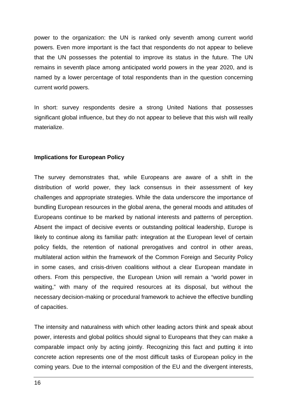power to the organization: the UN is ranked only seventh among current world powers. Even more important is the fact that respondents do not appear to believe that the UN possesses the potential to improve its status in the future. The UN remains in seventh place among anticipated world powers in the year 2020, and is named by a lower percentage of total respondents than in the question concerning current world powers.

In short: survey respondents desire a strong United Nations that possesses significant global influence, but they do not appear to believe that this wish will really materialize.

# **Implications for European Policy**

The survey demonstrates that, while Europeans are aware of a shift in the distribution of world power, they lack consensus in their assessment of key challenges and appropriate strategies. While the data underscore the importance of bundling European resources in the global arena, the general moods and attitudes of Europeans continue to be marked by national interests and patterns of perception. Absent the impact of decisive events or outstanding political leadership, Europe is likely to continue along its familiar path: integration at the European level of certain policy fields, the retention of national prerogatives and control in other areas, multilateral action within the framework of the Common Foreign and Security Policy in some cases, and crisis-driven coalitions without a clear European mandate in others. From this perspective, the European Union will remain a "world power in waiting," with many of the required resources at its disposal, but without the necessary decision-making or procedural framework to achieve the effective bundling of capacities.

The intensity and naturalness with which other leading actors think and speak about power, interests and global politics should signal to Europeans that they can make a comparable impact only by acting jointly. Recognizing this fact and putting it into concrete action represents one of the most difficult tasks of European policy in the coming years. Due to the internal composition of the EU and the divergent interests,